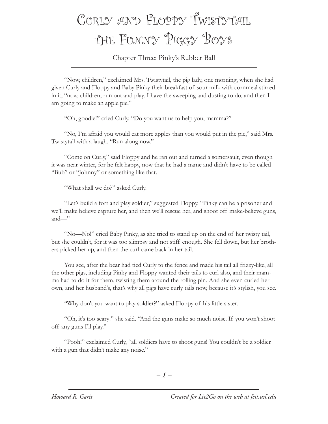## CURLY AND FLOPPY TWISTYTAIL the Funny Piggy Boys

Chapter Three: Pinky's Rubber Ball

"Now, children," exclaimed Mrs. Twistytail, the pig lady, one morning, when she had given Curly and Floppy and Baby Pinky their breakfast of sour milk with cornmeal stirred in it, "now, children, run out and play. I have the sweeping and dusting to do, and then I am going to make an apple pie."

"Oh, goodie!" cried Curly. "Do you want us to help you, mamma?"

"No, I'm afraid you would eat more apples than you would put in the pie," said Mrs. Twistytail with a laugh. "Run along now."

"Come on Curly," said Floppy and he ran out and turned a somersault, even though it was near winter, for he felt happy, now that he had a name and didn't have to be called "Bub" or "Johnny" or something like that.

"What shall we do?" asked Curly.

"Let's build a fort and play soldier," suggested Floppy. "Pinky can be a prisoner and we'll make believe capture her, and then we'll rescue her, and shoot off make-believe guns, and—"

"No—No!" cried Baby Pinky, as she tried to stand up on the end of her twisty tail, but she couldn't, for it was too slimpsy and not stiff enough. She fell down, but her brothers picked her up, and then the curl came back in her tail.

You see, after the bear had tied Curly to the fence and made his tail all frizzy-like, all the other pigs, including Pinky and Floppy wanted their tails to curl also, and their mamma had to do it for them, twisting them around the rolling pin. And she even curled her own, and her husband's, that's why all pigs have curly tails now, because it's stylish, you see.

"Why don't you want to play soldier?" asked Floppy of his little sister.

"Oh, it's too scary!" she said. "And the guns make so much noise. If you won't shoot off any guns I'll play."

"Pooh!" exclaimed Curly, "all soldiers have to shoot guns! You couldn't be a soldier with a gun that didn't make any noise."

*– –*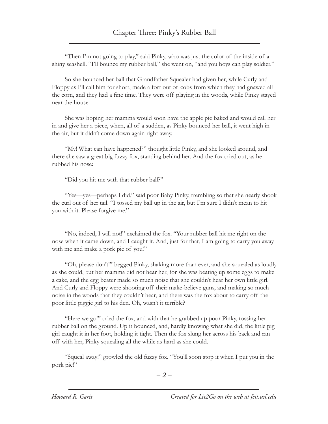"Then I'm not going to play," said Pinky, who was just the color of the inside of a shiny seashell. "I'll bounce my rubber ball," she went on, "and you boys can play soldier."

So she bounced her ball that Grandfather Squealer had given her, while Curly and Floppy as I'll call him for short, made a fort out of cobs from which they had gnawed all the corn, and they had a fine time. They were off playing in the woods, while Pinky stayed near the house.

She was hoping her mamma would soon have the apple pie baked and would call her in and give her a piece, when, all of a sudden, as Pinky bounced her ball, it went high in the air, but it didn't come down again right away.

"My! What can have happened?" thought little Pinky, and she looked around, and there she saw a great big fuzzy fox, standing behind her. And the fox cried out, as he rubbed his nose:

"Did you hit me with that rubber ball?"

"Yes—yes—perhaps I did," said poor Baby Pinky, trembling so that she nearly shook the curl out of her tail. "I tossed my ball up in the air, but I'm sure I didn't mean to hit you with it. Please forgive me."

"No, indeed, I will not!" exclaimed the fox. "Your rubber ball hit me right on the nose when it came down, and I caught it. And, just for that, I am going to carry you away with me and make a pork pie of you!"

"Oh, please don't!" begged Pinky, shaking more than ever, and she squealed as loudly as she could, but her mamma did not hear her, for she was beating up some eggs to make a cake, and the egg beater made so much noise that she couldn't hear her own little girl. And Curly and Floppy were shooting off their make-believe guns, and making so much noise in the woods that they couldn't hear, and there was the fox about to carry off the poor little piggie girl to his den. Oh, wasn't it terrible?

"Here we go!" cried the fox, and with that he grabbed up poor Pinky, tossing her rubber ball on the ground. Up it bounced, and, hardly knowing what she did, the little pig girl caught it in her foot, holding it tight. Then the fox slung her across his back and ran off with her, Pinky squealing all the while as hard as she could.

"Squeal away!" growled the old fuzzy fox. "You'll soon stop it when I put you in the pork pie!"

*– –*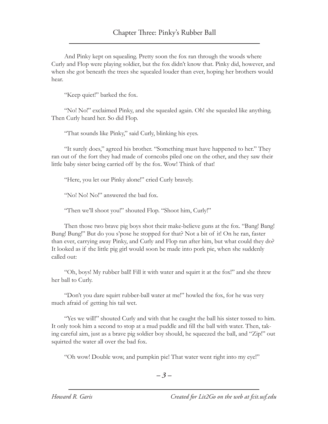And Pinky kept on squealing. Pretty soon the fox ran through the woods where Curly and Flop were playing soldier, but the fox didn't know that. Pinky did, however, and when she got beneath the trees she squealed louder than ever, hoping her brothers would hear.

"Keep quiet!" barked the fox.

"No! No!" exclaimed Pinky, and she squealed again. Oh! she squealed like anything. Then Curly heard her. So did Flop.

"That sounds like Pinky," said Curly, blinking his eyes.

"It surely does," agreed his brother. "Something must have happened to her." They ran out of the fort they had made of corncobs piled one on the other, and they saw their little baby sister being carried off by the fox. Wow! Think of that!

"Here, you let our Pinky alone!" cried Curly bravely.

"No! No! No!" answered the bad fox.

"Then we'll shoot you!" shouted Flop. "Shoot him, Curly!"

Then those two brave pig boys shot their make-believe guns at the fox. "Bang! Bang! Bung! Bung!" But do you s'pose he stopped for that? Not a bit of it! On he ran, faster than ever, carrying away Pinky, and Curly and Flop ran after him, but what could they do? It looked as if the little pig girl would soon be made into pork pie, when she suddenly called out:

"Oh, boys! My rubber ball! Fill it with water and squirt it at the fox!" and she threw her ball to Curly.

"Don't you dare squirt rubber-ball water at me!" howled the fox, for he was very much afraid of getting his tail wet.

"Yes we will!" shouted Curly and with that he caught the ball his sister tossed to him. It only took him a second to stop at a mud puddle and fill the ball with water. Then, taking careful aim, just as a brave pig soldier boy should, he squeezed the ball, and "Zip!" out squirted the water all over the bad fox.

"Oh wow! Double wow, and pumpkin pie! That water went right into my eye!"

*– –*